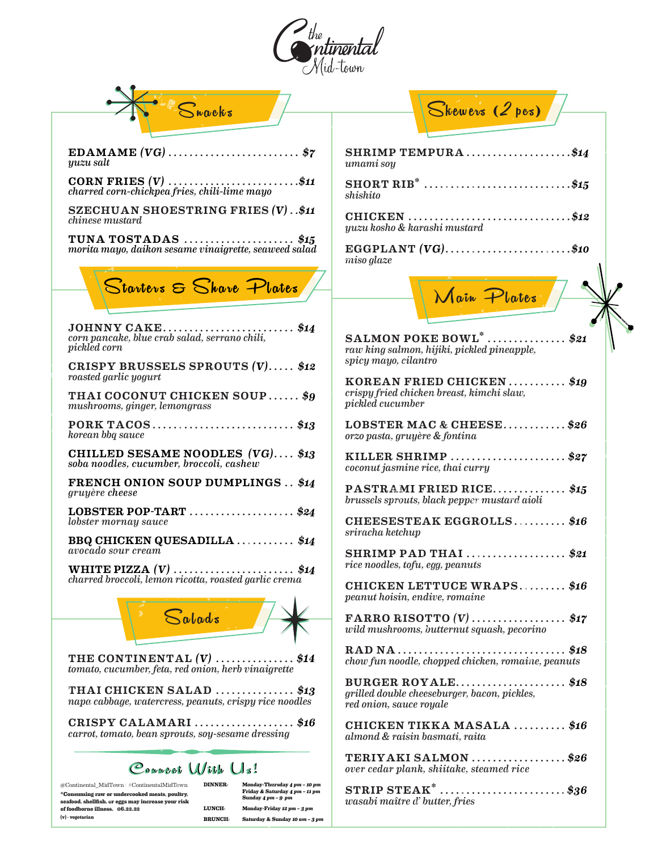

| $\mathbf S$ nacks                                                                                                                                                                                                                                                                                                                                                                                             | Skewers (2 pes)                                                                              |
|---------------------------------------------------------------------------------------------------------------------------------------------------------------------------------------------------------------------------------------------------------------------------------------------------------------------------------------------------------------------------------------------------------------|----------------------------------------------------------------------------------------------|
|                                                                                                                                                                                                                                                                                                                                                                                                               |                                                                                              |
| EDAMAME $(VG)$ \$7<br>yuzu salt                                                                                                                                                                                                                                                                                                                                                                               | SHRIMP TEMPURA\$14<br>umami soy                                                              |
| <b>CORN FRIES <math>(V)</math></b> \$11<br>charred corn-chickpea fries, chili-lime mayo                                                                                                                                                                                                                                                                                                                       | SHORT RIB <sup>*</sup> \$15<br>shishito                                                      |
| SZECHUAN SHOESTRING FRIES $(V)$ \$11<br>chinese mustard                                                                                                                                                                                                                                                                                                                                                       | CHICKEN \$12<br>yuzu kosho & karashi mustard                                                 |
| <b>TUNA TOSTADAS</b> \$15<br>morita mayo, daikon sesame vinaigrette, seaweed salad                                                                                                                                                                                                                                                                                                                            | EGGPLANT $(VG)$ \$10<br>$miso$ glaze                                                         |
| Starters & Share Plates                                                                                                                                                                                                                                                                                                                                                                                       |                                                                                              |
|                                                                                                                                                                                                                                                                                                                                                                                                               | Main Plates                                                                                  |
| JOHNNY CAKE\$14<br>corn pancake, blue crab salad, serrano chili,<br>pickled corn                                                                                                                                                                                                                                                                                                                              | SALMON POKE BOWL $^*$ \$21<br>raw king salmon, hijiki, pickled pineapple,                    |
| CRISPY BRUSSELS SPROUTS (V) \$12<br>roasted garlic yogurt                                                                                                                                                                                                                                                                                                                                                     | spicy mayo, cilantro<br>KOREAN FRIED CHICKEN \$19                                            |
| THAI COCONUT CHICKEN SOUP\$9<br>mushrooms, ginger, lemongrass                                                                                                                                                                                                                                                                                                                                                 | crispy fried chicken breast, kimchi slaw,<br><i>pickled</i> cucumber                         |
| PORK TACOS\$13<br>korean bbq sauce                                                                                                                                                                                                                                                                                                                                                                            | LOBSTER MAC & CHEESE\$26<br>orzo pasta, gruyère & fontina                                    |
| CHILLED SESAME NOODLES $(VG)$ \$13<br>soba noodles, cucumber, broccoli, cashew                                                                                                                                                                                                                                                                                                                                | KILLER SHRIMP<br>\$27<br>coconut jasmine rice, thai curry                                    |
| <b>FRENCH ONION SOUP DUMPLINGS \$14</b><br>gruyère cheese                                                                                                                                                                                                                                                                                                                                                     | PASTRAMI FRIED RICE\$15<br>brussels sprouts, black pepper mustard aioli                      |
| LOBSTER POP-TART \$24<br>lobster mornay sauce                                                                                                                                                                                                                                                                                                                                                                 | CHEESESTEAK EGGROLLS\$16                                                                     |
| BBQ CHICKEN QUESADILLA \$14<br>avocado sour cream                                                                                                                                                                                                                                                                                                                                                             | sriracha ketchup<br>SHRIMP PAD THAI \$21                                                     |
| <b>WHITE PIZZA (V)</b> \$14<br>charred broccoli, lemon ricotta, roasted garlic crema                                                                                                                                                                                                                                                                                                                          | rice noodles, tofu, egg, peanuts                                                             |
|                                                                                                                                                                                                                                                                                                                                                                                                               | CHICKEN LETTUCE WRAPS\$16<br>peanut hoisin, endive, romaine                                  |
| $\mathbf{S}$ alads                                                                                                                                                                                                                                                                                                                                                                                            | FARRO RISOTTO $(V)$ \$17<br>wild mushrooms, butternut squash, pecorino                       |
| THE CONTINENTAL $(V)$ \$14<br>tomato, cucumber, feta, red onion, herb vinaigrette                                                                                                                                                                                                                                                                                                                             | \$18<br>chow fun noodle, chopped chicken, romaine, peanuts                                   |
| THAI CHICKEN SALAD \$13<br>napa cabbage, watercress, peanuts, crispy rice noodles                                                                                                                                                                                                                                                                                                                             | BURGER ROYALE\$18<br>grilled double cheeseburger, bacon, pickles,<br>red onion, sauce royale |
| CRISPY CALAMARI \$16<br>carrot, tomato, bean sprouts, soy-sesame dressing                                                                                                                                                                                                                                                                                                                                     | CHICKEN TIKKA MASALA  \$16<br>almond & raisin basmati, raita                                 |
| Councet With Us!                                                                                                                                                                                                                                                                                                                                                                                              | TERIYAKI SALMON<br>\$26<br>over cedar plank, shiitake, steamed rice                          |
| <b>DINNER:</b><br>@Continental_MidTown   #ContinentalMidTown<br>Monday-Thursday 4 pm - 10 pm<br>Friday & Saturday 4 pm - 11 pm<br>*Consuming raw or undercooked meats, poultry,<br>Sunday $4pm - 9pm$<br>seafood, shellfish, or eggs may increase your risk<br>LUNCH:<br>Monday-Friday 12 pm - 3 pm<br>of foodborne illness. 06.22.22<br>(v) - vegetarian<br><b>BRUNCH:</b><br>Saturday & Sunday 10 am - 3 pm | STRIP STEAK $^*$ \$36<br>wasabi maître d' butter, fries                                      |